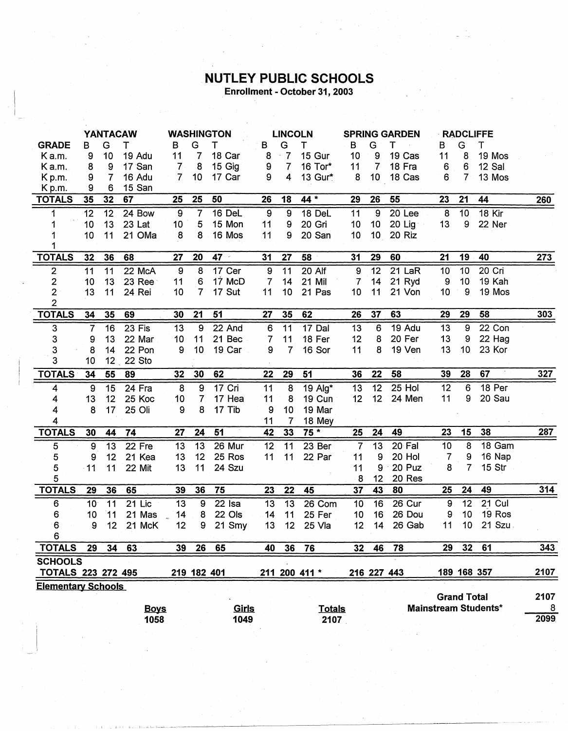## NUTLEY PUBLIC SCHOOLS Enrollment - October 31, 2003

|                           | <b>YANTACAW</b> |                 |             | <b>WASHINGTON</b> |                 | <b>LINCOLN</b> |                |                 | <b>SPRING GARDEN</b> |                 |                 | <b>RADCLIFFE</b> |    |                    |                             |      |
|---------------------------|-----------------|-----------------|-------------|-------------------|-----------------|----------------|----------------|-----------------|----------------------|-----------------|-----------------|------------------|----|--------------------|-----------------------------|------|
| <b>GRADE</b>              | в               | G               | т           | в                 | G               | т              | В              | G               | T.                   | B               | G               | т                | в  | G                  | Τ                           |      |
| K a.m.                    | 9               | 10 <sub>1</sub> | 19 Adu      | 11                | $\overline{7}$  | 18 Car         | 8              | $\cdot$ 7       | 15 Gur               | 10              | 9               | 19 Cas           | 11 | 8                  | 19 Mos                      |      |
| Ka.m.                     | 8               | 9               | 17 San      | 7 <sup>1</sup>    | 8               | 15 Gig         | 9              | $\overline{7}$  | 16 Tor*              | 11              | $\overline{7}$  | 18 Fra           | 6  | 6                  | 12 Sal                      |      |
| Kp.m.                     | 9               | 7               | 16 Adu      | $\overline{7}$    | 10 <sub>1</sub> | 17 Car         | 9              | 4               | 13 Gur*              | 8               | 10 <sub>1</sub> | 18 Cas           | 6  | 7                  | 13 Mos                      |      |
| Kp.m.                     | 9               | 6               | 15 San      |                   |                 |                |                |                 |                      |                 |                 |                  |    |                    |                             |      |
| <b>TOTALS</b>             | 35              | 32              | 67          | 25                | 25              | 50             | 26             | 18              | 44 *                 | 29              | 26              | 55               | 23 | 21                 | 44                          | 260  |
| 1                         | 12              | $\overline{12}$ | 24 Bow      | $\boldsymbol{9}$  | $\overline{7}$  | 16 DeL         | 9              | $\overline{9}$  | <b>18 DeL</b>        | 11              | 9               | 20 Lee           | 8  | 10                 | <b>18 Kir</b>               |      |
| 1                         | 10              | 13              | 23 Lat      | 10                | 5               | 15 Mon         | 11             | 9               | 20 Gri               | 10              | $10 -$          | $20$ Lig         | 13 | 9                  | 22 Ner                      |      |
| 1                         | 10              | 11              | 21 OMa      | 8                 | 8               | 16 Mos         | 11             | 9               | 20 San               | 10              |                 | 10 20 Riz        |    |                    |                             |      |
| 1                         |                 |                 |             |                   |                 |                |                |                 |                      |                 |                 |                  |    |                    |                             |      |
| <b>TOTALS</b>             | 32              | 36              | 68          | 27                | 20              | $47 -$         | 31             | 27              | 58                   | 31              | 29              | 60               | 21 | 19                 | 40                          | 273  |
| $\mathbf 2$               | 11              | 11              | 22 McA      | 9                 | 8               | 17 Cer         | 9              | 11              | 20 Alf               | 9               | 12              | 21 LaR           | 10 | 10                 | 20 Cri                      |      |
| $\overline{2}$            | 10              | 13              | 23 Ree      | 11                | $\mathbf 6$     | 17 McD         | $\overline{7}$ | 14              | 21 Mil               | 7               | 14              | 21 Ryd           | 9  | 10                 | 19 Kah                      |      |
| $\overline{2}$            | 13              | 11              | 24 Rei      | 10                | 7               | 17 Sut         | 11             | 10              | 21 Pas               | 10              | 11              | 21 Von           | 10 | 9                  | 19 Mos                      |      |
| $\overline{2}$            |                 |                 |             |                   |                 |                |                |                 |                      |                 |                 |                  |    |                    |                             |      |
| <b>TOTALS</b>             | 34              | 35              | 69          | 30                | 21              | 51             | 27             | 35              | 62                   | 26              | 37              | 63               | 29 | 29                 | 58                          | 303  |
| $\overline{3}$            | $\overline{7}$  | 16              | 23 Fis      | 13                | 9               | 22 And         | 6              | 11              | 17 Dal               | 13              | 6               | 19 Adu           | 13 | 9                  | 22 Con                      |      |
| $\ensuremath{\mathsf{3}}$ | 9               | 13              | 22 Mar      | 10                | 11              | 21 Bec         | $\overline{7}$ | 11              | 18 Fer               | 12              | 8               | 20 Fer           | 13 | 9                  | 22 Hag                      |      |
| 3                         | 8               | 14              | 22 Pon      | 9                 | 10              | 19 Car         | 9              | $\overline{7}$  | 16 Sor               | 11              | 8               | 19 Ven           | 13 | 10                 | 23 Kor                      |      |
| 3                         | 10              |                 | 12 22 Sto   |                   |                 |                |                |                 |                      |                 |                 |                  |    |                    |                             |      |
| <b>TOTALS</b>             | 34              | 55              | 89          | 32                | 30              | 62             | 22             | 29              | 51                   | 36              | 22              | 58               | 39 | 28                 | 67                          | 327  |
| 4                         | 9               | 15              | 24 Fra      | 8                 | 9               | $17$ Cri       | 11             | $\overline{8}$  | $19$ Alg*            | $\overline{13}$ | $\overline{12}$ | $25$ Hol         | 12 | $6\phantom{1}6$    | 18 Per                      |      |
| 4                         | 13              | 12              | 25 Koc      | 10 <sub>1</sub>   | 7 <sub>1</sub>  | 17 Hea         | 11             | 8               | 19 Cun               | 12 <sup>°</sup> | 12 <sub>2</sub> | 24 Men           | 11 | 9                  | 20 Sau                      |      |
| 4                         | 8               | 17              | 25 Oli      | 9                 | 8               | 17 Tib         | 9              | 10 <sup>7</sup> | 19 Mar               |                 |                 |                  |    |                    |                             |      |
| 4                         |                 |                 |             |                   |                 |                | 11             | 7               | 18 Mey               |                 |                 |                  |    |                    |                             |      |
| <b>TOTALS</b>             | 30              | 44              | 74          | 27                | 24              | 51             | 42             | 33              | $75*$                | 25              | 24              | 49               | 23 | 15                 | 38                          | 287  |
| 5                         | 9               | 13              | 22 Fre      | 13                | 13              | 26 Mur         | 12             | 11              | 23 Ber               | $\overline{7}$  | 13              | 20 Fal           | 10 | 8                  | 18 Gam                      |      |
| 5                         | 9               | 12              | 21 Kea      | 13                | 12              | 25 Ros         | 11             | 11              | 22 Par               | 11              | 9               | 20 Hol           | 7  | 9                  | 16 Nap                      |      |
| 5                         | $\cdot$ 11      | 11              | 22 Mit      | 13                | 11              | 24 Szu         |                |                 |                      | 11              | 9               | 20 Puz           | 8  | $\overline{7}$     | 15 Str                      |      |
| 5                         |                 |                 |             |                   |                 |                |                |                 |                      | 8               | 12              | 20 Res           |    |                    |                             |      |
| <b>TOTALS</b>             | 29              | 36              | 65          | 39                | 36              | 75             | 23             | 22              | 45                   | 37              | 43              | 80               | 25 | 24                 | 49                          | 314  |
| 6                         | 10 <sup>°</sup> | 11              | 21 Lic      | 13                | 9               | $22$ Isa       | 13             | 13              | 26 Com               | 10              | 16              | 26 Cur           | 9  | 12                 | $21$ Cul                    |      |
| 6                         | 10              | 11              | 21 Mas      | 14                | 8               | 22 Ols         | 14             | 11              | 25 Fer               | 10              | 16              | 26 Dou           | 9  | 10                 | 19 Ros                      |      |
| 6                         | 9               | 12              | 21 McK      | 12                | 9               | 21 Smy         | 13             | 12              | 25 Vla               | 12              | 14              | 26 Gab           | 11 | 10                 | 21 Szu                      |      |
| 6                         |                 |                 |             |                   |                 |                |                |                 |                      |                 |                 |                  |    |                    |                             |      |
| <b>TOTALS</b>             | 29              | 34              | 63          | 39                | 26              | 65             | 40             | 36              | 76                   | 32              | 46              | 78               | 29 |                    | 32 61                       | 343  |
| <b>SCHOOLS</b>            |                 |                 |             |                   |                 |                |                |                 |                      |                 |                 |                  |    |                    |                             |      |
| <b>TOTALS 223 272 495</b> |                 |                 |             |                   | 219 182 401     |                |                |                 | 211 200 411 *        |                 |                 | 216 227 443      |    |                    | 189 168 357                 | 2107 |
| <b>Elementary Schools</b> |                 |                 |             |                   |                 |                |                |                 |                      |                 |                 |                  |    |                    |                             |      |
|                           |                 |                 |             |                   |                 |                |                |                 |                      |                 |                 |                  |    | <b>Grand Total</b> |                             | 2107 |
|                           |                 |                 | <b>Boys</b> |                   |                 | Girls          |                |                 | <b>Totals</b>        |                 |                 |                  |    |                    | <b>Mainstream Students*</b> | 8    |
|                           |                 |                 | 1058        |                   |                 | 1049           |                |                 | 2107                 |                 |                 |                  |    |                    |                             | 2099 |